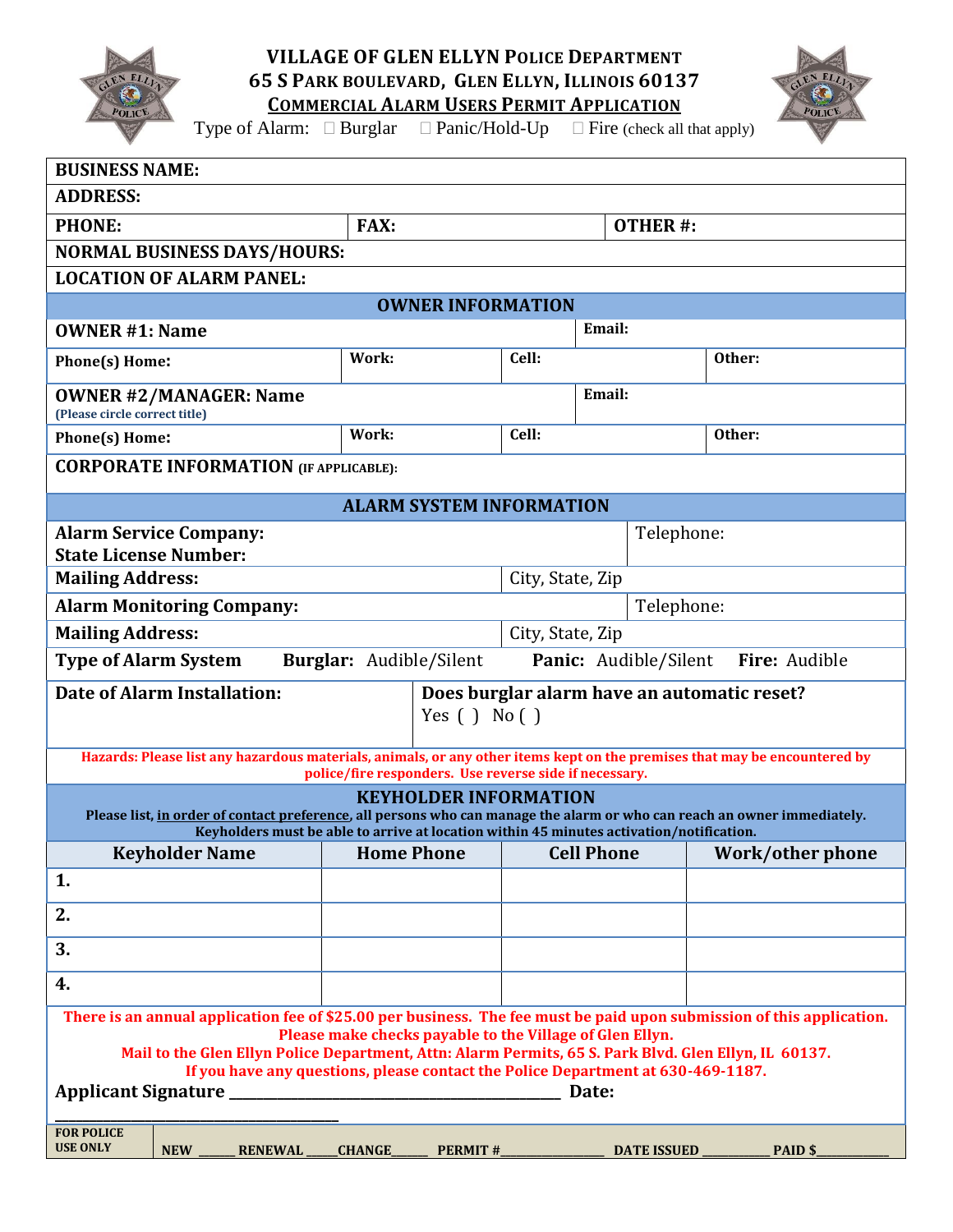

**VILLAGE OF GLEN ELLYN POLICE DEPARTMENT 65 S PARK BOULEVARD, GLEN ELLYN, ILLINOIS 60137 COMMERCIAL ALARM USERS PERMIT APPLICATION**



Type of Alarm:  $\Box$  Burglar  $\Box$  Panic/Hold-Up  $\Box$  Fire (check all that apply)

| <b>BUSINESS NAME:</b>                                                                                                                                                                                                                                                                                                                                                                               |               |       |                         |                |                      |                  |  |
|-----------------------------------------------------------------------------------------------------------------------------------------------------------------------------------------------------------------------------------------------------------------------------------------------------------------------------------------------------------------------------------------------------|---------------|-------|-------------------------|----------------|----------------------|------------------|--|
| <b>ADDRESS:</b>                                                                                                                                                                                                                                                                                                                                                                                     |               |       |                         |                |                      |                  |  |
| <b>PHONE:</b>                                                                                                                                                                                                                                                                                                                                                                                       | <b>FAX:</b>   |       |                         | <b>OTHER#:</b> |                      |                  |  |
| <b>NORMAL BUSINESS DAYS/HOURS:</b>                                                                                                                                                                                                                                                                                                                                                                  |               |       |                         |                |                      |                  |  |
| <b>LOCATION OF ALARM PANEL:</b>                                                                                                                                                                                                                                                                                                                                                                     |               |       |                         |                |                      |                  |  |
| <b>OWNER INFORMATION</b>                                                                                                                                                                                                                                                                                                                                                                            |               |       |                         |                |                      |                  |  |
| <b>OWNER #1: Name</b>                                                                                                                                                                                                                                                                                                                                                                               |               |       |                         | Email:         |                      |                  |  |
| Phone(s) Home:                                                                                                                                                                                                                                                                                                                                                                                      | Work:         | Cell: |                         |                | Other:               |                  |  |
| <b>OWNER #2/MANAGER: Name</b><br>(Please circle correct title)                                                                                                                                                                                                                                                                                                                                      |               |       |                         | Email:         |                      |                  |  |
| Phone(s) Home:                                                                                                                                                                                                                                                                                                                                                                                      | Work:         | Cell: |                         |                | Other:               |                  |  |
| <b>CORPORATE INFORMATION (IF APPLICABLE):</b>                                                                                                                                                                                                                                                                                                                                                       |               |       |                         |                |                      |                  |  |
| <b>ALARM SYSTEM INFORMATION</b>                                                                                                                                                                                                                                                                                                                                                                     |               |       |                         |                |                      |                  |  |
| <b>Alarm Service Company:</b><br><b>State License Number:</b>                                                                                                                                                                                                                                                                                                                                       |               |       |                         |                | Telephone:           |                  |  |
| <b>Mailing Address:</b>                                                                                                                                                                                                                                                                                                                                                                             |               |       | City, State, Zip        |                |                      |                  |  |
| <b>Alarm Monitoring Company:</b><br>Telephone:                                                                                                                                                                                                                                                                                                                                                      |               |       |                         |                |                      |                  |  |
| <b>Mailing Address:</b><br>City, State, Zip                                                                                                                                                                                                                                                                                                                                                         |               |       |                         |                |                      |                  |  |
| Burglar: Audible/Silent<br>Fire: Audible<br><b>Type of Alarm System</b><br>Panic: Audible/Silent                                                                                                                                                                                                                                                                                                    |               |       |                         |                |                      |                  |  |
| <b>Date of Alarm Installation:</b><br>Does burglar alarm have an automatic reset?<br>Yes $( )$ No $( )$                                                                                                                                                                                                                                                                                             |               |       |                         |                |                      |                  |  |
| Hazards: Please list any hazardous materials, animals, or any other items kept on the premises that may be encountered by<br>police/fire responders. Use reverse side if necessary.                                                                                                                                                                                                                 |               |       |                         |                |                      |                  |  |
| <b>KEYHOLDER INFORMATION</b><br>Please list, in order of contact preference, all persons who can manage the alarm or who can reach an owner immediately.<br>Keyholders must be able to arrive at location within 45 minutes activation/notification.                                                                                                                                                |               |       |                         |                |                      |                  |  |
| Keyholder Name                                                                                                                                                                                                                                                                                                                                                                                      |               |       | Home Phone   Cell Phone |                |                      | Work/other phone |  |
| 1.                                                                                                                                                                                                                                                                                                                                                                                                  |               |       |                         |                |                      |                  |  |
| 2.                                                                                                                                                                                                                                                                                                                                                                                                  |               |       |                         |                |                      |                  |  |
| 3.                                                                                                                                                                                                                                                                                                                                                                                                  |               |       |                         |                |                      |                  |  |
| 4.                                                                                                                                                                                                                                                                                                                                                                                                  |               |       |                         |                |                      |                  |  |
| There is an annual application fee of \$25.00 per business. The fee must be paid upon submission of this application.<br>Please make checks payable to the Village of Glen Ellyn.<br>Mail to the Glen Ellyn Police Department, Attn: Alarm Permits, 65 S. Park Blvd. Glen Ellyn, IL 60137.<br>If you have any questions, please contact the Police Department at 630-469-1187.<br><b>FOR POLICE</b> |               |       |                         |                |                      |                  |  |
| <b>USE ONLY</b><br><b>NEW</b><br><b>RENEWAL</b>                                                                                                                                                                                                                                                                                                                                                     | <b>CHANGE</b> |       | <b>PERMIT #</b>         |                | DATE ISSUED ________ | PAID \$          |  |